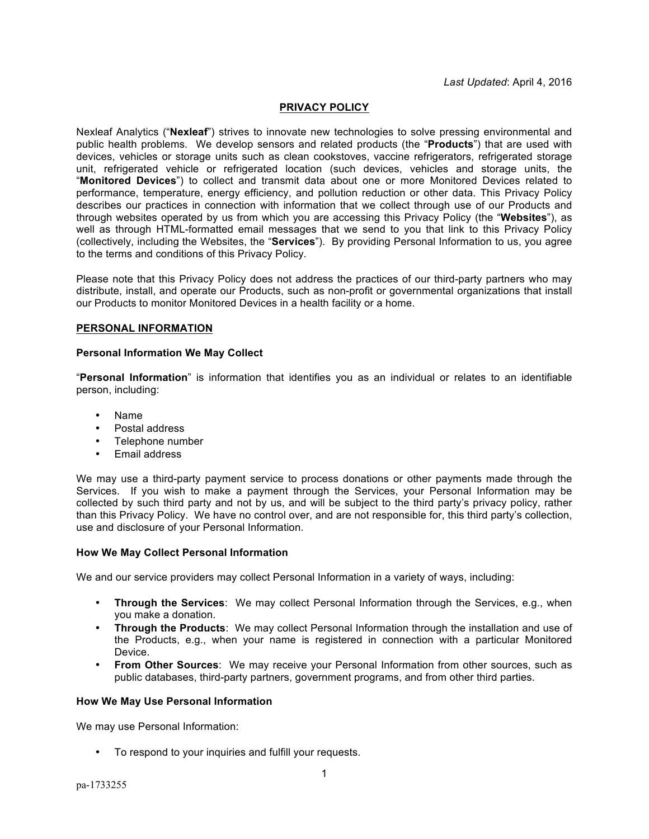## **PRIVACY POLICY**

Nexleaf Analytics ("**Nexleaf**") strives to innovate new technologies to solve pressing environmental and public health problems. We develop sensors and related products (the "**Products**") that are used with devices, vehicles or storage units such as clean cookstoves, vaccine refrigerators, refrigerated storage unit, refrigerated vehicle or refrigerated location (such devices, vehicles and storage units, the "**Monitored Devices**") to collect and transmit data about one or more Monitored Devices related to performance, temperature, energy efficiency, and pollution reduction or other data. This Privacy Policy describes our practices in connection with information that we collect through use of our Products and through websites operated by us from which you are accessing this Privacy Policy (the "**Websites**"), as well as through HTML-formatted email messages that we send to you that link to this Privacy Policy (collectively, including the Websites, the "**Services**"). By providing Personal Information to us, you agree to the terms and conditions of this Privacy Policy.

Please note that this Privacy Policy does not address the practices of our third-party partners who may distribute, install, and operate our Products, such as non-profit or governmental organizations that install our Products to monitor Monitored Devices in a health facility or a home.

## **PERSONAL INFORMATION**

## **Personal Information We May Collect**

"**Personal Information**" is information that identifies you as an individual or relates to an identifiable person, including:

- Name
- Postal address
- Telephone number
- Email address

We may use a third-party payment service to process donations or other payments made through the Services. If you wish to make a payment through the Services, your Personal Information may be collected by such third party and not by us, and will be subject to the third party's privacy policy, rather than this Privacy Policy. We have no control over, and are not responsible for, this third party's collection, use and disclosure of your Personal Information.

## **How We May Collect Personal Information**

We and our service providers may collect Personal Information in a variety of ways, including:

- **Through the Services**: We may collect Personal Information through the Services, e.g., when you make a donation.
- **Through the Products**: We may collect Personal Information through the installation and use of the Products, e.g., when your name is registered in connection with a particular Monitored Device.
- **From Other Sources**: We may receive your Personal Information from other sources, such as public databases, third-party partners, government programs, and from other third parties.

## **How We May Use Personal Information**

We may use Personal Information:

• To respond to your inquiries and fulfill your requests.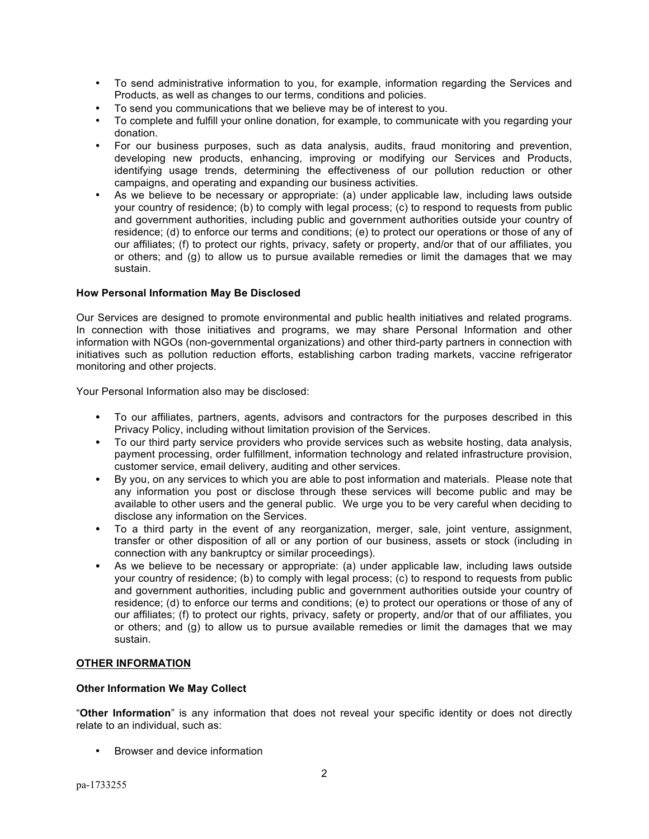- To send administrative information to you, for example, information regarding the Services and Products, as well as changes to our terms, conditions and policies.
- To send you communications that we believe may be of interest to you.
- To complete and fulfill your online donation, for example, to communicate with you regarding your donation.
- For our business purposes, such as data analysis, audits, fraud monitoring and prevention, developing new products, enhancing, improving or modifying our Services and Products, identifying usage trends, determining the effectiveness of our pollution reduction or other campaigns, and operating and expanding our business activities.
- As we believe to be necessary or appropriate: (a) under applicable law, including laws outside your country of residence; (b) to comply with legal process; (c) to respond to requests from public and government authorities, including public and government authorities outside your country of residence; (d) to enforce our terms and conditions; (e) to protect our operations or those of any of our affiliates; (f) to protect our rights, privacy, safety or property, and/or that of our affiliates, you or others; and (g) to allow us to pursue available remedies or limit the damages that we may sustain.

## **How Personal Information May Be Disclosed**

Our Services are designed to promote environmental and public health initiatives and related programs. In connection with those initiatives and programs, we may share Personal Information and other information with NGOs (non-governmental organizations) and other third-party partners in connection with initiatives such as pollution reduction efforts, establishing carbon trading markets, vaccine refrigerator monitoring and other projects.

Your Personal Information also may be disclosed:

- To our affiliates, partners, agents, advisors and contractors for the purposes described in this Privacy Policy, including without limitation provision of the Services.
- To our third party service providers who provide services such as website hosting, data analysis, payment processing, order fulfillment, information technology and related infrastructure provision, customer service, email delivery, auditing and other services.
- By you, on any services to which you are able to post information and materials. Please note that any information you post or disclose through these services will become public and may be available to other users and the general public. We urge you to be very careful when deciding to disclose any information on the Services.
- To a third party in the event of any reorganization, merger, sale, joint venture, assignment, transfer or other disposition of all or any portion of our business, assets or stock (including in connection with any bankruptcy or similar proceedings).
- As we believe to be necessary or appropriate: (a) under applicable law, including laws outside your country of residence; (b) to comply with legal process; (c) to respond to requests from public and government authorities, including public and government authorities outside your country of residence; (d) to enforce our terms and conditions; (e) to protect our operations or those of any of our affiliates; (f) to protect our rights, privacy, safety or property, and/or that of our affiliates, you or others; and (g) to allow us to pursue available remedies or limit the damages that we may sustain.

## **OTHER INFORMATION**

## **Other Information We May Collect**

"**Other Information**" is any information that does not reveal your specific identity or does not directly relate to an individual, such as:

• Browser and device information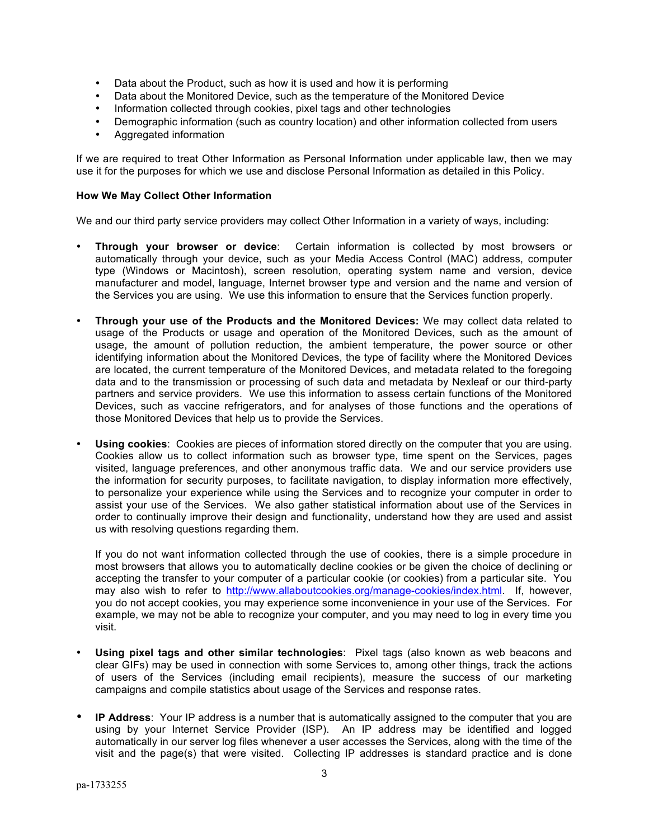- Data about the Product, such as how it is used and how it is performing
- Data about the Monitored Device, such as the temperature of the Monitored Device
- Information collected through cookies, pixel tags and other technologies
- Demographic information (such as country location) and other information collected from users
- Aggregated information

If we are required to treat Other Information as Personal Information under applicable law, then we may use it for the purposes for which we use and disclose Personal Information as detailed in this Policy.

## **How We May Collect Other Information**

We and our third party service providers may collect Other Information in a variety of ways, including:

- **Through your browser or device**: Certain information is collected by most browsers or automatically through your device, such as your Media Access Control (MAC) address, computer type (Windows or Macintosh), screen resolution, operating system name and version, device manufacturer and model, language, Internet browser type and version and the name and version of the Services you are using. We use this information to ensure that the Services function properly.
- **Through your use of the Products and the Monitored Devices:** We may collect data related to usage of the Products or usage and operation of the Monitored Devices, such as the amount of usage, the amount of pollution reduction, the ambient temperature, the power source or other identifying information about the Monitored Devices, the type of facility where the Monitored Devices are located, the current temperature of the Monitored Devices, and metadata related to the foregoing data and to the transmission or processing of such data and metadata by Nexleaf or our third-party partners and service providers. We use this information to assess certain functions of the Monitored Devices, such as vaccine refrigerators, and for analyses of those functions and the operations of those Monitored Devices that help us to provide the Services.
- **Using cookies**: Cookies are pieces of information stored directly on the computer that you are using. Cookies allow us to collect information such as browser type, time spent on the Services, pages visited, language preferences, and other anonymous traffic data. We and our service providers use the information for security purposes, to facilitate navigation, to display information more effectively, to personalize your experience while using the Services and to recognize your computer in order to assist your use of the Services. We also gather statistical information about use of the Services in order to continually improve their design and functionality, understand how they are used and assist us with resolving questions regarding them.

If you do not want information collected through the use of cookies, there is a simple procedure in most browsers that allows you to automatically decline cookies or be given the choice of declining or accepting the transfer to your computer of a particular cookie (or cookies) from a particular site. You may also wish to refer to http://www.allaboutcookies.org/manage-cookies/index.html. If, however, you do not accept cookies, you may experience some inconvenience in your use of the Services. For example, we may not be able to recognize your computer, and you may need to log in every time you visit.

- **Using pixel tags and other similar technologies**: Pixel tags (also known as web beacons and clear GIFs) may be used in connection with some Services to, among other things, track the actions of users of the Services (including email recipients), measure the success of our marketing campaigns and compile statistics about usage of the Services and response rates.
- **IP Address**: Your IP address is a number that is automatically assigned to the computer that you are using by your Internet Service Provider (ISP). An IP address may be identified and logged automatically in our server log files whenever a user accesses the Services, along with the time of the visit and the page(s) that were visited. Collecting IP addresses is standard practice and is done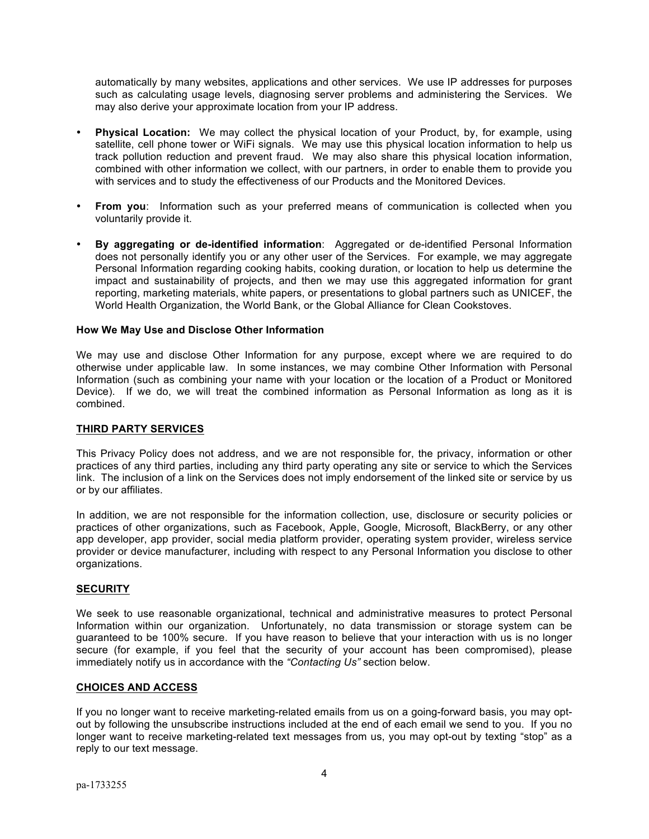automatically by many websites, applications and other services. We use IP addresses for purposes such as calculating usage levels, diagnosing server problems and administering the Services. We may also derive your approximate location from your IP address.

- **Physical Location:** We may collect the physical location of your Product, by, for example, using satellite, cell phone tower or WiFi signals.We may use this physical location information to help us track pollution reduction and prevent fraud. We may also share this physical location information, combined with other information we collect, with our partners, in order to enable them to provide you with services and to study the effectiveness of our Products and the Monitored Devices.
- **From you**: Information such as your preferred means of communication is collected when you voluntarily provide it.
- **By aggregating or de-identified information**: Aggregated or de-identified Personal Information does not personally identify you or any other user of the Services. For example, we may aggregate Personal Information regarding cooking habits, cooking duration, or location to help us determine the impact and sustainability of projects, and then we may use this aggregated information for grant reporting, marketing materials, white papers, or presentations to global partners such as UNICEF, the World Health Organization, the World Bank, or the Global Alliance for Clean Cookstoves.

## **How We May Use and Disclose Other Information**

We may use and disclose Other Information for any purpose, except where we are required to do otherwise under applicable law. In some instances, we may combine Other Information with Personal Information (such as combining your name with your location or the location of a Product or Monitored Device). If we do, we will treat the combined information as Personal Information as long as it is combined.

## **THIRD PARTY SERVICES**

This Privacy Policy does not address, and we are not responsible for, the privacy, information or other practices of any third parties, including any third party operating any site or service to which the Services link. The inclusion of a link on the Services does not imply endorsement of the linked site or service by us or by our affiliates.

In addition, we are not responsible for the information collection, use, disclosure or security policies or practices of other organizations, such as Facebook, Apple, Google, Microsoft, BlackBerry, or any other app developer, app provider, social media platform provider, operating system provider, wireless service provider or device manufacturer, including with respect to any Personal Information you disclose to other organizations.

## **SECURITY**

We seek to use reasonable organizational, technical and administrative measures to protect Personal Information within our organization. Unfortunately, no data transmission or storage system can be guaranteed to be 100% secure. If you have reason to believe that your interaction with us is no longer secure (for example, if you feel that the security of your account has been compromised), please immediately notify us in accordance with the *"Contacting Us"* section below.

## **CHOICES AND ACCESS**

If you no longer want to receive marketing-related emails from us on a going-forward basis, you may optout by following the unsubscribe instructions included at the end of each email we send to you. If you no longer want to receive marketing-related text messages from us, you may opt-out by texting "stop" as a reply to our text message.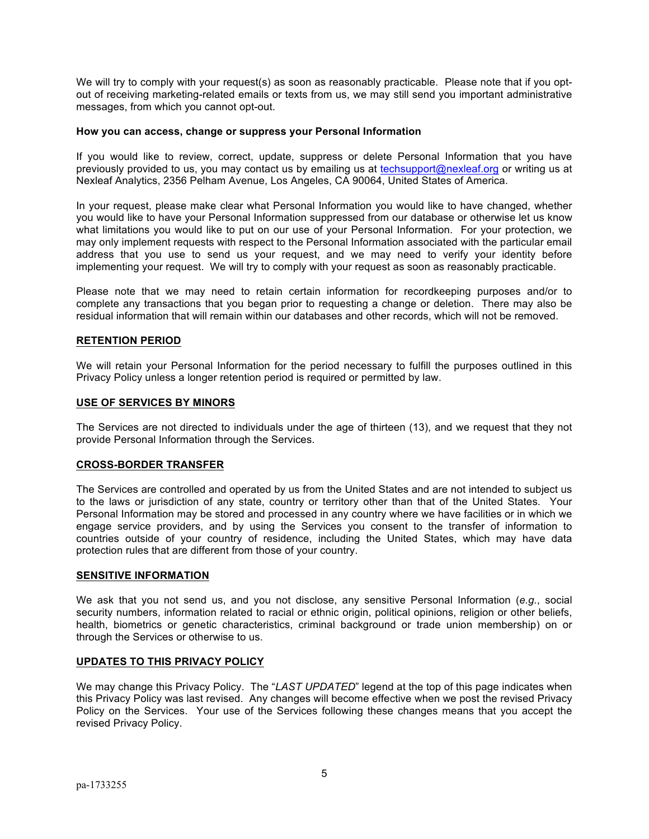We will try to comply with your request(s) as soon as reasonably practicable. Please note that if you optout of receiving marketing-related emails or texts from us, we may still send you important administrative messages, from which you cannot opt-out.

#### **How you can access, change or suppress your Personal Information**

If you would like to review, correct, update, suppress or delete Personal Information that you have previously provided to us, you may contact us by emailing us at techsupport@nexleaf.org or writing us at Nexleaf Analytics, 2356 Pelham Avenue, Los Angeles, CA 90064, United States of America.

In your request, please make clear what Personal Information you would like to have changed, whether you would like to have your Personal Information suppressed from our database or otherwise let us know what limitations you would like to put on our use of your Personal Information. For your protection, we may only implement requests with respect to the Personal Information associated with the particular email address that you use to send us your request, and we may need to verify your identity before implementing your request. We will try to comply with your request as soon as reasonably practicable.

Please note that we may need to retain certain information for recordkeeping purposes and/or to complete any transactions that you began prior to requesting a change or deletion. There may also be residual information that will remain within our databases and other records, which will not be removed.

#### **RETENTION PERIOD**

We will retain your Personal Information for the period necessary to fulfill the purposes outlined in this Privacy Policy unless a longer retention period is required or permitted by law.

#### **USE OF SERVICES BY MINORS**

The Services are not directed to individuals under the age of thirteen (13), and we request that they not provide Personal Information through the Services.

## **CROSS-BORDER TRANSFER**

The Services are controlled and operated by us from the United States and are not intended to subject us to the laws or jurisdiction of any state, country or territory other than that of the United States. Your Personal Information may be stored and processed in any country where we have facilities or in which we engage service providers, and by using the Services you consent to the transfer of information to countries outside of your country of residence, including the United States, which may have data protection rules that are different from those of your country.

#### **SENSITIVE INFORMATION**

We ask that you not send us, and you not disclose, any sensitive Personal Information (*e.g.*, social security numbers, information related to racial or ethnic origin, political opinions, religion or other beliefs, health, biometrics or genetic characteristics, criminal background or trade union membership) on or through the Services or otherwise to us.

## **UPDATES TO THIS PRIVACY POLICY**

We may change this Privacy Policy. The "*LAST UPDATED*" legend at the top of this page indicates when this Privacy Policy was last revised. Any changes will become effective when we post the revised Privacy Policy on the Services. Your use of the Services following these changes means that you accept the revised Privacy Policy.